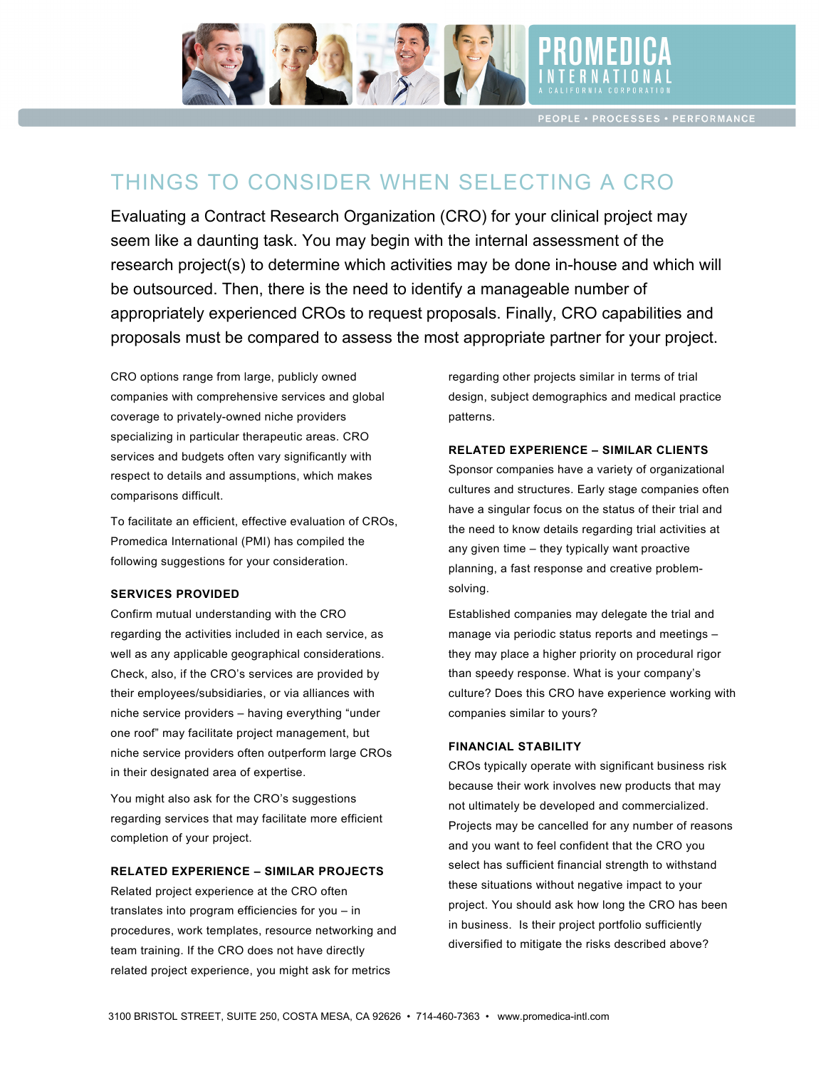

**PEOPLE · PROCESSES · PERFORMANCE** 

# THINGS TO CONSIDER WHEN SELECTING A CRO

Evaluating a Contract Research Organization (CRO) for your clinical project may seem like a daunting task. You may begin with the internal assessment of the research project(s) to determine which activities may be done in-house and which will be outsourced. Then, there is the need to identify a manageable number of appropriately experienced CROs to request proposals. Finally, CRO capabilities and proposals must be compared to assess the most appropriate partner for your project.

CRO options range from large, publicly owned companies with comprehensive services and global design, subject demographics and me coverage to privately-owned niche providers specializing in particular therapeutic areas. CRO services and budgets often vary significantly with **EXPLATED EXPERIENCE - SIMILAR CLIENTS** respect to details and assumptions, which makes comparisons difficult.

To facilitate an efficient, effective evaluation of CROs, Promedica International (PMI) has compiled the following suggestions for your consideration. The objective memanental (TM) has complied the acquiring company given time – they typically want proactive

#### **SERVICES PROVIDED**   $\mathsf{S}\text{-}\mathsf{ERVICES}$  PROVIDED and controls in accordance with general lying general  $\mathsf{S}\text{-}\mathsf{ERVICES}$

Confirm mutual understanding with the CRO regarding the activities included in each service, as **he adden as manage via periodic status** re well as any applicable geographical considerations. Check, also, if the CRO's services are provided by the provided to transfer and perform limited review of transfer and provided by the provided review of the provided review of the provided review of the provided review of their employees/subsidiaries, or via alliances with example uniture? Does this CRO have experience working niche service providers - having everything "under examples similar to your one roof" may facilitate project management, but  $\frac{1}{2}$ niche service providers often outperform large CROs **FINANCIAL STABILITY** in their designated area of expertise. Sileth, also, if the GNO's services are provided by the facilitate sponsor what is your company's

You might also ask for the CRO's suggestions regarding services that may facilitate more efficient completion of your project. To might did don't briting one of a suggestion of the commercialized.

### **RELATED EXPERIENCE – SIMILAR PROJECTS**

Related project experience at the CRO often translates into program efficiencies for you – in procedures, work templates, resource networking and **Entirch and the entire only converted with a** procedures, work templates, resource networking and team training. If the CRO does not have directly diversified to mitigate the risks described above? related project experience, you might ask for metrics

regarding other projects similar in terms of trial design, subject demographics and medical practice patterns.

#### **RELATED EXPERIENCE – SIMILAR CLIENTS**

Sponsor companies have a variety of organizational comparisons difficult. The subsection of the cultures and structures. Early stage companies often comparisons have a singular focus on the status of their trial and however, pending satisfactory response to FDA questions for the status of their trial and the need to know details regarding trial activities at planning, a fast response and creative problemsolving.  $\mu$ arining, a rast

> Established companies may delegate the trial and manage via periodic status reports and meetings – they may place a higher priority on procedural rigor than speedy response. What is your company's culture? Does this CRO have experience working with companies similar to yours?

#### **FINANCIAL STABILITY**

in their designated area of expertise exactions on a conversion CROs typically operate with significant business risk because their work involves new products that may regulating corricod that they hominical more embits that import Projects may be cancelled for any number of reasons complement of your project. The reconcilent previous and you want to feel confident that the CRO you BEI ATED EXPERIENCE – SIMIL AR PRO IECTS Select has sufficient financial strength to withstand Exact the CBO of the CBO of the Stuations without negative impact to your these situations without negative impact to your project. You should ask how long the CRO has been in business. Is their project portfolio sufficiently diversified to mitigate the risks described above?